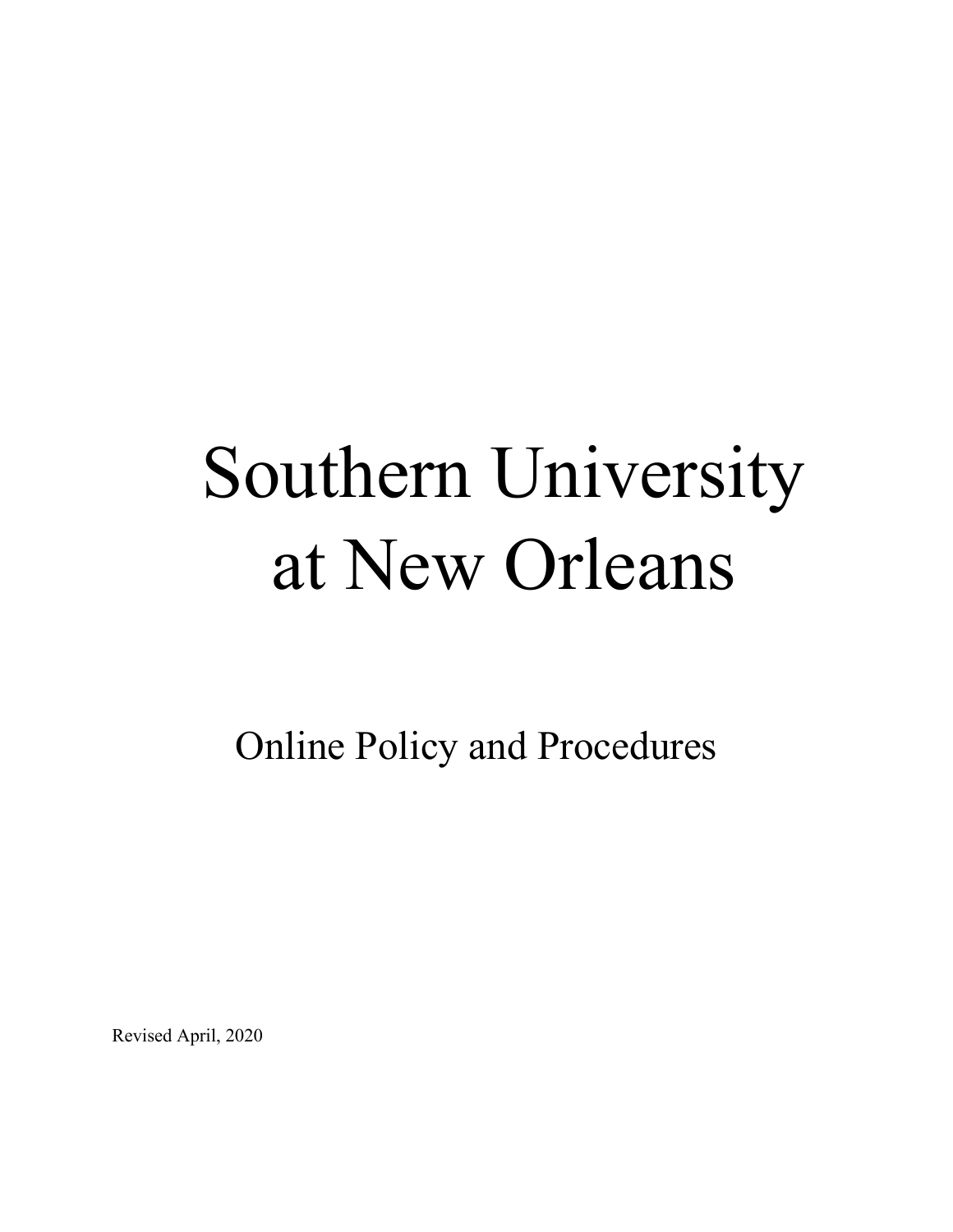# Southern University at New Orleans

Online Policy and Procedures

Revised April, 2020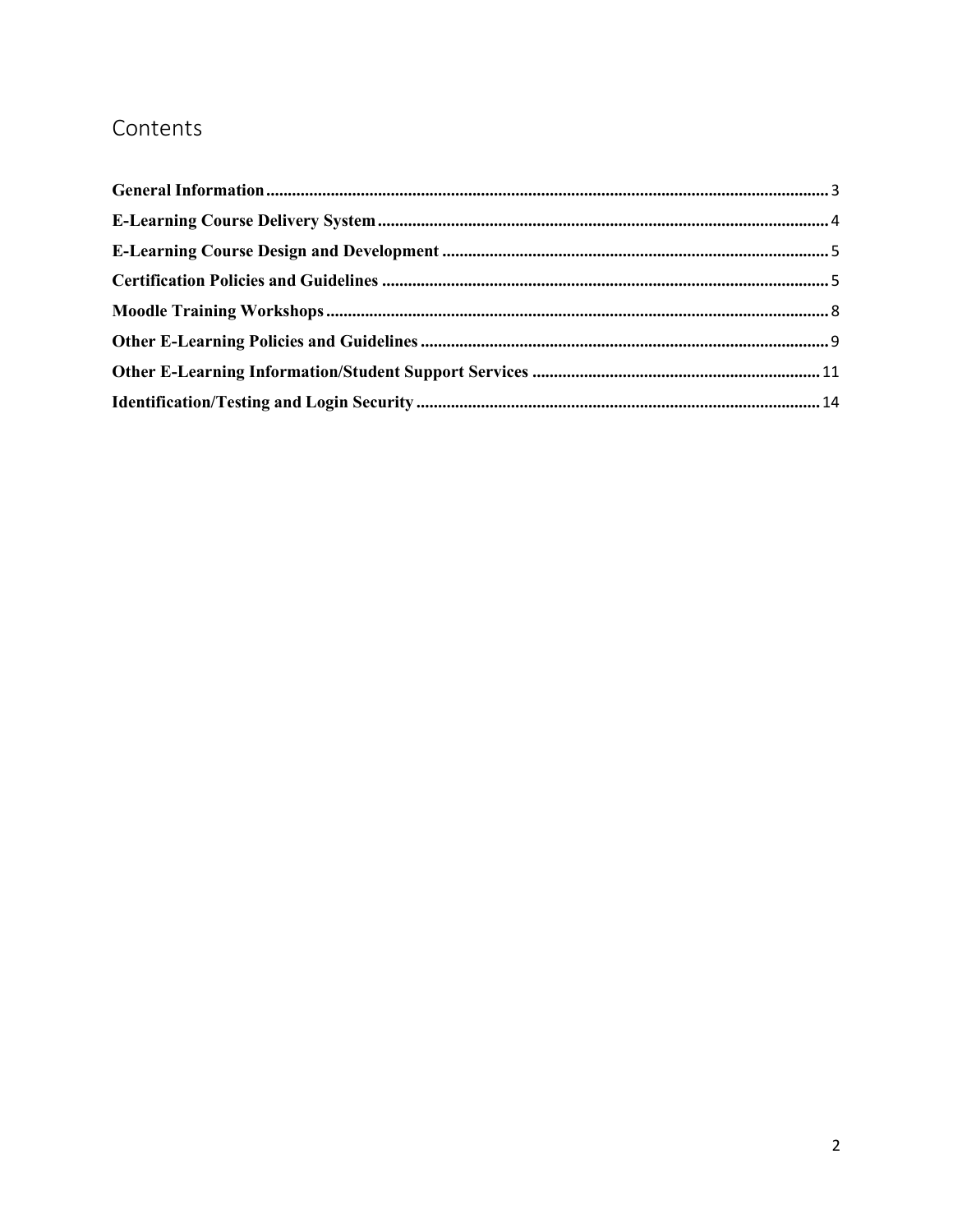# Contents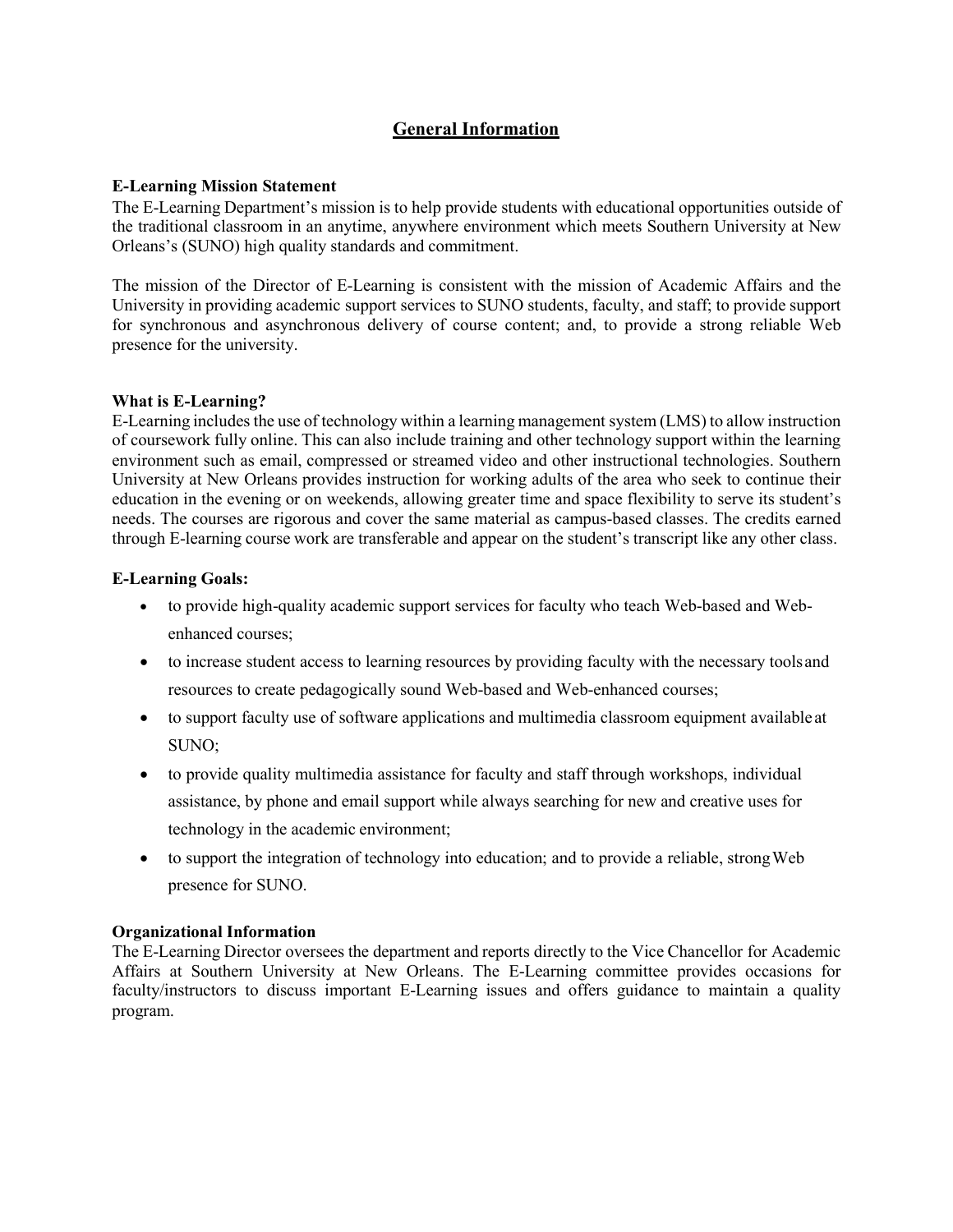# **General Information**

#### <span id="page-2-0"></span>**E-Learning Mission Statement**

The E-Learning Department's mission is to help provide students with educational opportunities outside of the traditional classroom in an anytime, anywhere environment which meets Southern University at New Orleans's (SUNO) high quality standards and commitment.

The mission of the Director of E-Learning is consistent with the mission of Academic Affairs and the University in providing academic support services to SUNO students, faculty, and staff; to provide support for synchronous and asynchronous delivery of course content; and, to provide a strong reliable Web presence for the university.

# **What is E-Learning?**

E-Learning includes the use of technology within a learning management system (LMS) to allow instruction of coursework fully online. This can also include training and other technology support within the learning environment such as email, compressed or streamed video and other instructional technologies. Southern University at New Orleans provides instruction for working adults of the area who seek to continue their education in the evening or on weekends, allowing greater time and space flexibility to serve its student's needs. The courses are rigorous and cover the same material as campus-based classes. The credits earned through E-learning course work are transferable and appear on the student's transcript like any other class.

#### **E-Learning Goals:**

- to provide high-quality academic support services for faculty who teach Web-based and Webenhanced courses;
- to increase student access to learning resources by providing faculty with the necessary tools and resources to create pedagogically sound Web-based and Web-enhanced courses;
- to support faculty use of software applications and multimedia classroom equipment available at SUNO;
- to provide quality multimedia assistance for faculty and staff through workshops, individual assistance, by phone and email support while always searching for new and creative uses for technology in the academic environment;
- to support the integration of technology into education; and to provide a reliable, strong Web presence for SUNO.

# **Organizational Information**

The E-Learning Director oversees the department and reports directly to the Vice Chancellor for Academic Affairs at Southern University at New Orleans. The E-Learning committee provides occasions for faculty/instructors to discuss important E-Learning issues and offers guidance to maintain a quality program.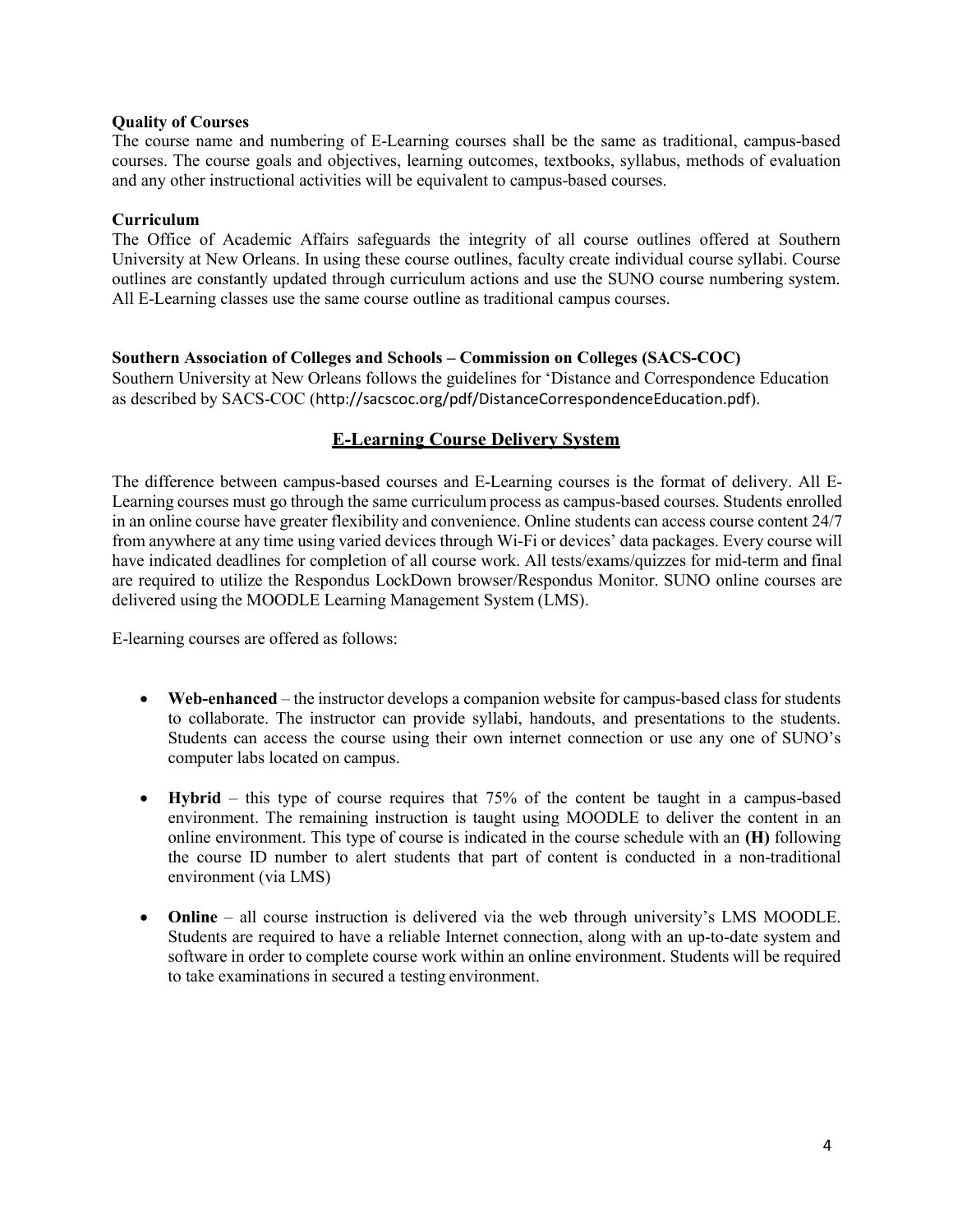#### **Quality of Courses**

The course name and numbering of E-Learning courses shall be the same as traditional, campus-based courses. The course goals and objectives, learning outcomes, textbooks, syllabus, methods of evaluation and any other instructional activities will be equivalent to campus-based courses.

#### **Curriculum**

The Office of Academic Affairs safeguards the integrity of all course outlines offered at Southern University at New Orleans. In using these course outlines, faculty create individual course syllabi. Course outlines are constantly updated through curriculum actions and use the SUNO course numbering system. All E-Learning classes use the same course outline as traditional campus courses.

# **Southern Association of Colleges and Schools – Commission on Colleges (SACS-COC)**

Southern University at New Orleans follows the guidelines for 'Distance and Correspondence Education as described by SACS-COC ([http://sacscoc.org/pdf/DistanceCorrespondenceEducation.pdf](http://sacscoc.org/pdf/DistanceCorrespondenceEducation.pdf))).

# **E-Learning Course Delivery System**

<span id="page-3-0"></span>The difference between campus-based courses and E-Learning courses is the format of delivery. All E-Learning courses must go through the same curriculum process as campus-based courses. Students enrolled in an online course have greater flexibility and convenience. Online students can access course content 24/7 from anywhere at any time using varied devices through Wi-Fi or devices' data packages. Every course will have indicated deadlines for completion of all course work. All tests/exams/quizzes for mid-term and final are required to utilize the Respondus LockDown browser/Respondus Monitor. SUNO online courses are delivered using the MOODLE Learning Management System (LMS).

E-learning courses are offered as follows:

- **Web-enhanced** the instructor develops a companion website for campus-based class for students to collaborate. The instructor can provide syllabi, handouts, and presentations to the students. Students can access the course using their own internet connection or use any one of SUNO's computer labs located on campus.
- **Hybrid**  this type of course requires that 75% of the content be taught in a campus-based environment. The remaining instruction is taught using MOODLE to deliver the content in an online environment. This type of course is indicated in the course schedule with an **(H)** following the course ID number to alert students that part of content is conducted in a non-traditional environment (via LMS)
- **Online**  all course instruction is delivered via the web through university's LMS MOODLE. Students are required to have a reliable Internet connection, along with an up-to-date system and software in order to complete course work within an online environment. Students will be required to take examinations in secured a testing environment.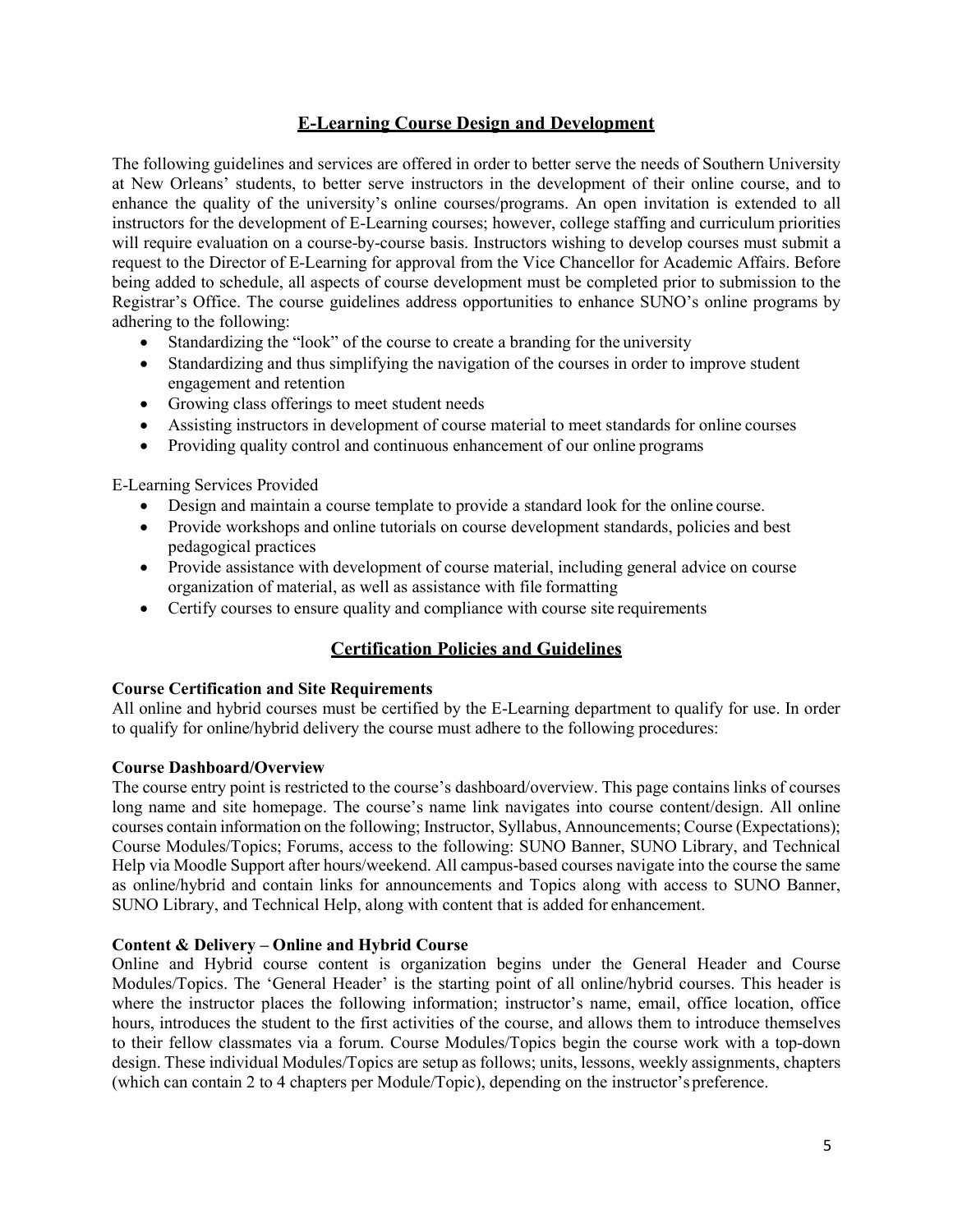# **E-Learning Course Design and Development**

<span id="page-4-0"></span>The following guidelines and services are offered in order to better serve the needs of Southern University at New Orleans' students, to better serve instructors in the development of their online course, and to enhance the quality of the university's online courses/programs. An open invitation is extended to all instructors for the development of E-Learning courses; however, college staffing and curriculum priorities will require evaluation on a course-by-course basis. Instructors wishing to develop courses must submit a request to the Director of E-Learning for approval from the Vice Chancellor for Academic Affairs. Before being added to schedule, all aspects of course development must be completed prior to submission to the Registrar's Office. The course guidelines address opportunities to enhance SUNO's online programs by adhering to the following:

- Standardizing the "look" of the course to create a branding for the university
- Standardizing and thus simplifying the navigation of the courses in order to improve student engagement and retention
- Growing class offerings to meet student needs
- Assisting instructors in development of course material to meet standards for online courses
- Providing quality control and continuous enhancement of our online programs

E-Learning Services Provided

- Design and maintain a course template to provide a standard look for the online course.
- Provide workshops and online tutorials on course development standards, policies and best pedagogical practices
- Provide assistance with development of course material, including general advice on course organization of material, as well as assistance with file formatting
- Certify courses to ensure quality and compliance with course site requirements

# **Certification Policies and Guidelines**

# <span id="page-4-1"></span>**Course Certification and Site Requirements**

All online and hybrid courses must be certified by the E-Learning department to qualify for use. In order to qualify for online/hybrid delivery the course must adhere to the following procedures:

# **Course Dashboard/Overview**

The course entry point is restricted to the course's dashboard/overview. This page contains links of courses long name and site homepage. The course's name link navigates into course content/design. All online courses contain information on the following; Instructor, Syllabus, Announcements; Course (Expectations); Course Modules/Topics; Forums, access to the following: SUNO Banner, SUNO Library, and Technical Help via Moodle Support after hours/weekend. All campus-based courses navigate into the course the same as online/hybrid and contain links for announcements and Topics along with access to SUNO Banner, SUNO Library, and Technical Help, along with content that is added for enhancement.

# **Content & Delivery – Online and Hybrid Course**

Online and Hybrid course content is organization begins under the General Header and Course Modules/Topics. The 'General Header' is the starting point of all online/hybrid courses. This header is where the instructor places the following information; instructor's name, email, office location, office hours, introduces the student to the first activities of the course, and allows them to introduce themselves to their fellow classmates via a forum. Course Modules/Topics begin the course work with a top-down design. These individual Modules/Topics are setup as follows; units, lessons, weekly assignments, chapters (which can contain 2 to 4 chapters per Module/Topic), depending on the instructor's preference.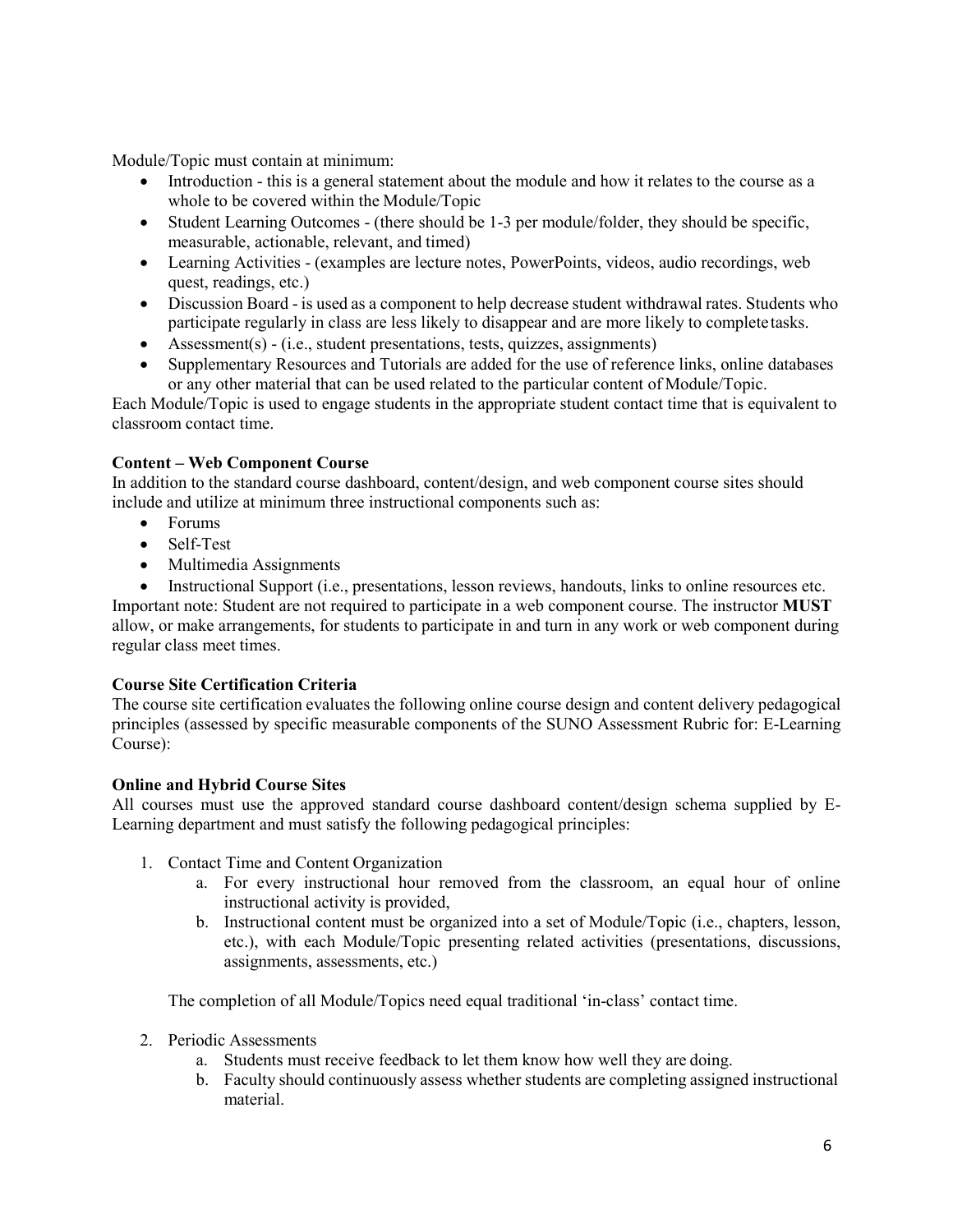Module/Topic must contain at minimum:

- Introduction this is a general statement about the module and how it relates to the course as a whole to be covered within the Module/Topic
- Student Learning Outcomes (there should be 1-3 per module/folder, they should be specific, measurable, actionable, relevant, and timed)
- Learning Activities (examples are lecture notes, PowerPoints, videos, audio recordings, web quest, readings, etc.)
- Discussion Board is used as a component to help decrease student withdrawal rates. Students who participate regularly in class are less likely to disappear and are more likely to completetasks.
- Assessment(s) (i.e., student presentations, tests, quizzes, assignments)
- Supplementary Resources and Tutorials are added for the use of reference links, online databases or any other material that can be used related to the particular content of Module/Topic.

Each Module/Topic is used to engage students in the appropriate student contact time that is equivalent to classroom contact time.

# **Content – Web Component Course**

In addition to the standard course dashboard, content/design, and web component course sites should include and utilize at minimum three instructional components such as:

- Forums
- Self-Test
- Multimedia Assignments
- Instructional Support (i.e., presentations, lesson reviews, handouts, links to online resources etc.

Important note: Student are not required to participate in a web component course. The instructor **MUST**  allow, or make arrangements, for students to participate in and turn in any work or web component during regular class meet times.

# **Course Site Certification Criteria**

The course site certification evaluates the following online course design and content delivery pedagogical principles (assessed by specific measurable components of the SUNO Assessment Rubric for: E-Learning Course):

# **Online and Hybrid Course Sites**

All courses must use the approved standard course dashboard content/design schema supplied by E-Learning department and must satisfy the following pedagogical principles:

- 1. Contact Time and Content Organization
	- a. For every instructional hour removed from the classroom, an equal hour of online instructional activity is provided,
	- b. Instructional content must be organized into a set of Module/Topic (i.e., chapters, lesson, etc.), with each Module/Topic presenting related activities (presentations, discussions, assignments, assessments, etc.)

The completion of all Module/Topics need equal traditional 'in-class' contact time.

- 2. Periodic Assessments
	- a. Students must receive feedback to let them know how well they are doing.
	- b. Faculty should continuously assess whether students are completing assigned instructional material.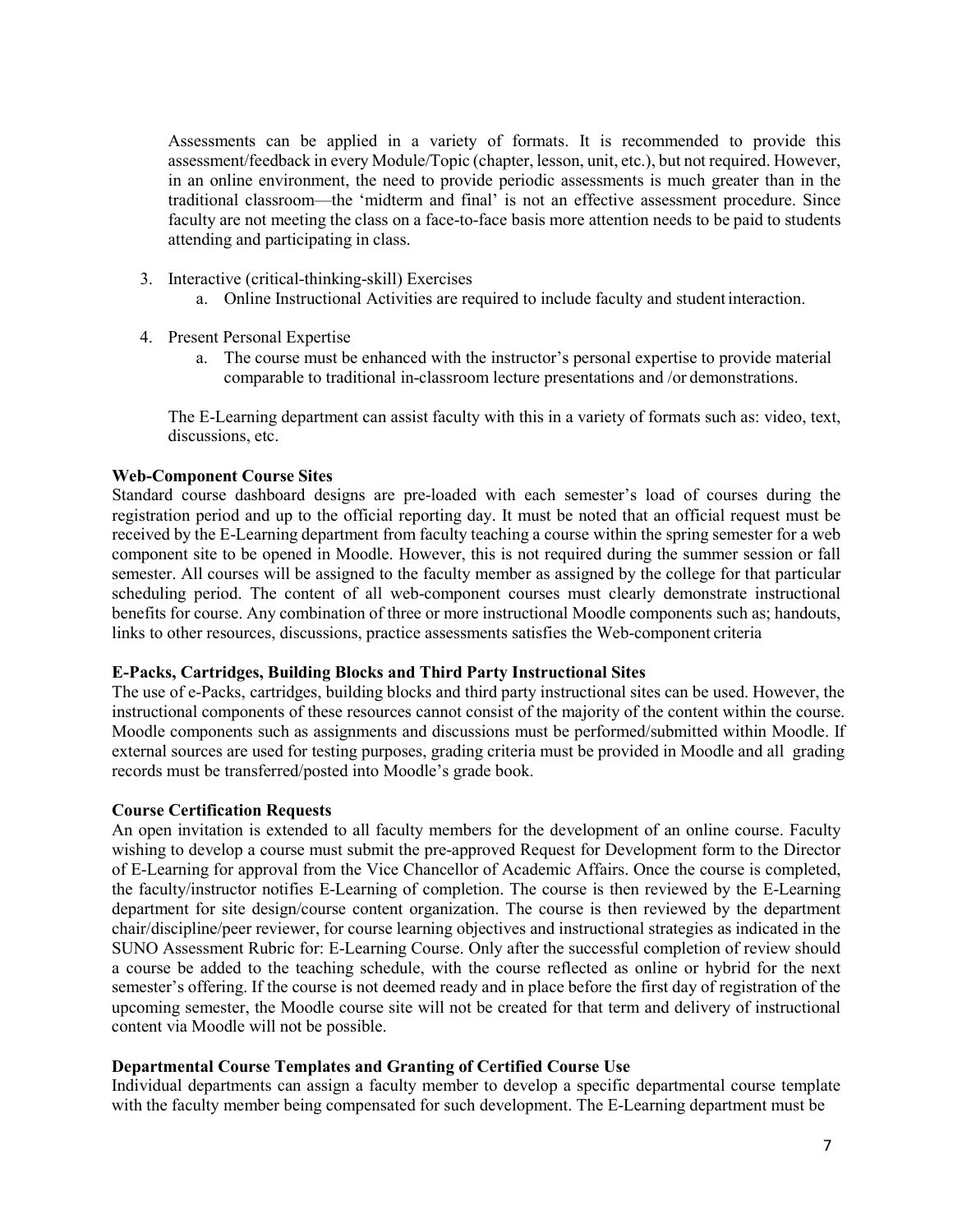Assessments can be applied in a variety of formats. It is recommended to provide this assessment/feedback in every Module/Topic (chapter, lesson, unit, etc.), but not required. However, in an online environment, the need to provide periodic assessments is much greater than in the traditional classroom—the 'midterm and final' is not an effective assessment procedure. Since faculty are not meeting the class on a face-to-face basis more attention needs to be paid to students attending and participating in class.

- 3. Interactive (critical-thinking-skill) Exercises
	- a. Online Instructional Activities are required to include faculty and student interaction.
- 4. Present Personal Expertise
	- a. The course must be enhanced with the instructor's personal expertise to provide material comparable to traditional in-classroom lecture presentations and /or demonstrations.

The E-Learning department can assist faculty with this in a variety of formats such as: video, text, discussions, etc.

# **Web-Component Course Sites**

Standard course dashboard designs are pre-loaded with each semester's load of courses during the registration period and up to the official reporting day. It must be noted that an official request must be received by the E-Learning department from faculty teaching a course within the spring semester for a web component site to be opened in Moodle. However, this is not required during the summer session or fall semester. All courses will be assigned to the faculty member as assigned by the college for that particular scheduling period. The content of all web-component courses must clearly demonstrate instructional benefits for course. Any combination of three or more instructional Moodle components such as; handouts, links to other resources, discussions, practice assessments satisfies the Web-component criteria

# **E-Packs, Cartridges, Building Blocks and Third Party Instructional Sites**

The use of e-Packs, cartridges, building blocks and third party instructional sites can be used. However, the instructional components of these resources cannot consist of the majority of the content within the course. Moodle components such as assignments and discussions must be performed/submitted within Moodle. If external sources are used for testing purposes, grading criteria must be provided in Moodle and all grading records must be transferred/posted into Moodle's grade book.

# **Course Certification Requests**

An open invitation is extended to all faculty members for the development of an online course. Faculty wishing to develop a course must submit the pre-approved Request for Development form to the Director of E-Learning for approval from the Vice Chancellor of Academic Affairs. Once the course is completed, the faculty/instructor notifies E-Learning of completion. The course is then reviewed by the E-Learning department for site design/course content organization. The course is then reviewed by the department chair/discipline/peer reviewer, for course learning objectives and instructional strategies as indicated in the SUNO Assessment Rubric for: E-Learning Course. Only after the successful completion of review should a course be added to the teaching schedule, with the course reflected as online or hybrid for the next semester's offering. If the course is not deemed ready and in place before the first day of registration of the upcoming semester, the Moodle course site will not be created for that term and delivery of instructional content via Moodle will not be possible.

# **Departmental Course Templates and Granting of Certified Course Use**

Individual departments can assign a faculty member to develop a specific departmental course template with the faculty member being compensated for such development. The E-Learning department must be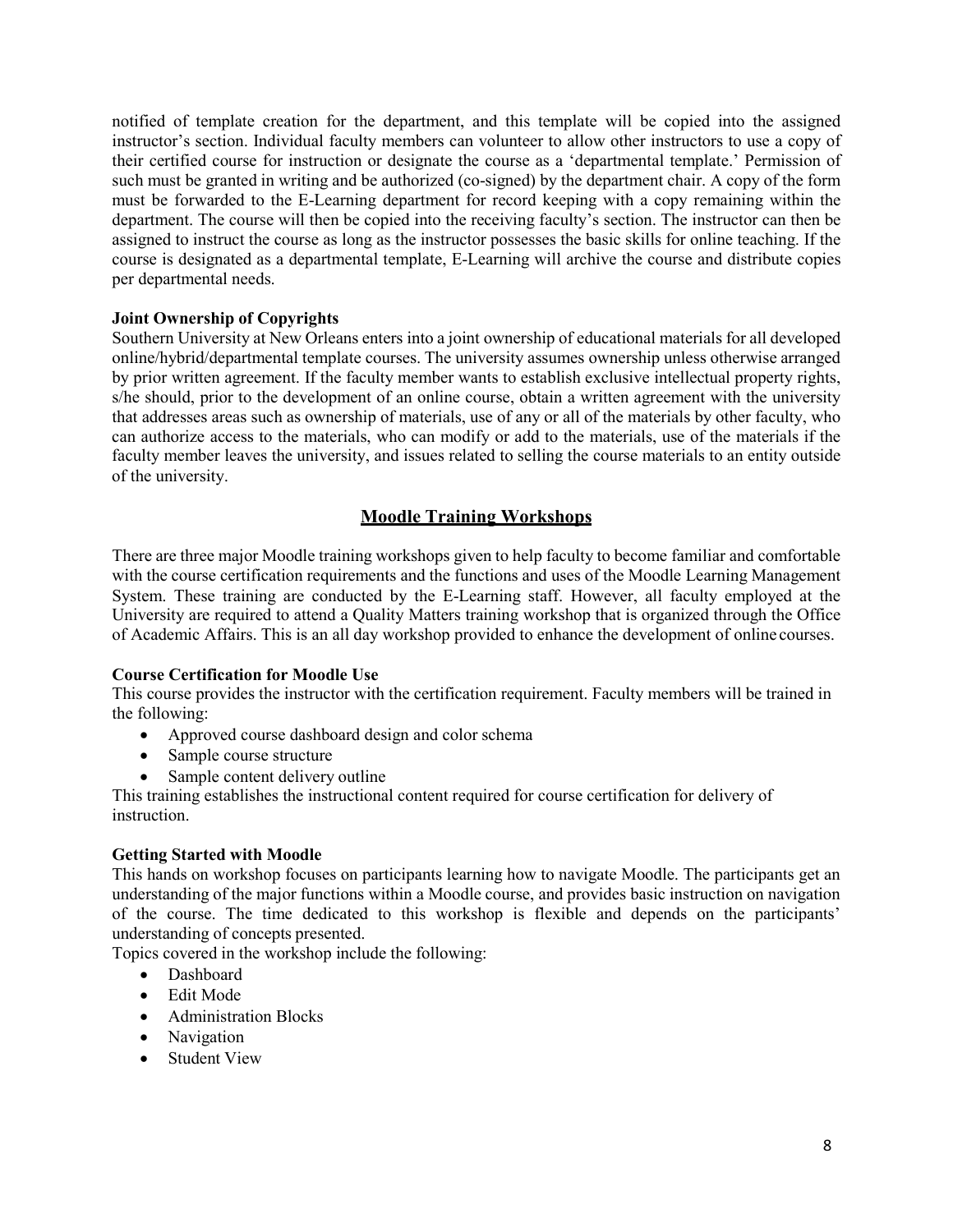notified of template creation for the department, and this template will be copied into the assigned instructor's section. Individual faculty members can volunteer to allow other instructors to use a copy of their certified course for instruction or designate the course as a 'departmental template.' Permission of such must be granted in writing and be authorized (co-signed) by the department chair. A copy of the form must be forwarded to the E-Learning department for record keeping with a copy remaining within the department. The course will then be copied into the receiving faculty's section. The instructor can then be assigned to instruct the course as long as the instructor possesses the basic skills for online teaching. If the course is designated as a departmental template, E-Learning will archive the course and distribute copies per departmental needs.

# **Joint Ownership of Copyrights**

Southern University at New Orleans enters into a joint ownership of educational materials for all developed online/hybrid/departmental template courses. The university assumes ownership unless otherwise arranged by prior written agreement. If the faculty member wants to establish exclusive intellectual property rights, s/he should, prior to the development of an online course, obtain a written agreement with the university that addresses areas such as ownership of materials, use of any or all of the materials by other faculty, who can authorize access to the materials, who can modify or add to the materials, use of the materials if the faculty member leaves the university, and issues related to selling the course materials to an entity outside of the university.

# **Moodle Training Workshops**

<span id="page-7-0"></span>There are three major Moodle training workshops given to help faculty to become familiar and comfortable with the course certification requirements and the functions and uses of the Moodle Learning Management System. These training are conducted by the E-Learning staff. However, all faculty employed at the University are required to attend a Quality Matters training workshop that is organized through the Office of Academic Affairs. This is an all day workshop provided to enhance the development of online courses.

# **Course Certification for Moodle Use**

This course provides the instructor with the certification requirement. Faculty members will be trained in the following:

- Approved course dashboard design and color schema
- Sample course structure
- Sample content delivery outline

This training establishes the instructional content required for course certification for delivery of instruction.

# **Getting Started with Moodle**

This hands on workshop focuses on participants learning how to navigate Moodle. The participants get an understanding of the major functions within a Moodle course, and provides basic instruction on navigation of the course. The time dedicated to this workshop is flexible and depends on the participants' understanding of concepts presented.

Topics covered in the workshop include the following:

- Dashboard
- Edit Mode
- Administration Blocks
- Navigation
- Student View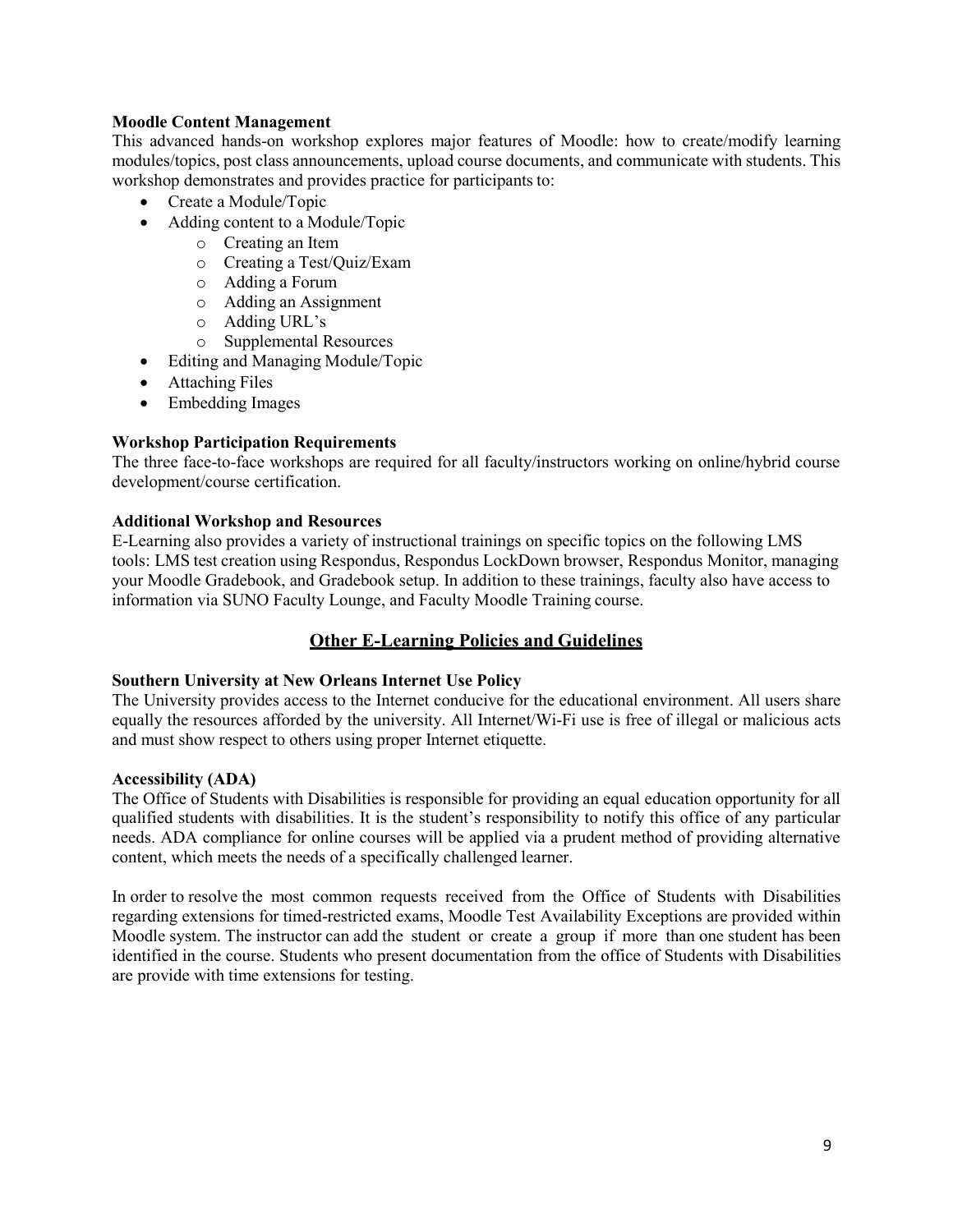# **Moodle Content Management**

This advanced hands-on workshop explores major features of Moodle: how to create/modify learning modules/topics, post class announcements, upload course documents, and communicate with students. This workshop demonstrates and provides practice for participants to:

- Create a Module/Topic
- Adding content to a Module/Topic
	- o Creating an Item
	- o Creating a Test/Quiz/Exam
	- o Adding a Forum
	- o Adding an Assignment
	- o Adding URL's
	- o Supplemental Resources
- Editing and Managing Module/Topic
- Attaching Files
- Embedding Images

# **Workshop Participation Requirements**

The three face-to-face workshops are required for all faculty/instructors working on online/hybrid course development/course certification.

# **Additional Workshop and Resources**

E-Learning also provides a variety of instructional trainings on specific topics on the following LMS tools: LMS test creation using Respondus, Respondus LockDown browser, Respondus Monitor, managing your Moodle Gradebook, and Gradebook setup. In addition to these trainings, faculty also have access to information via SUNO Faculty Lounge, and Faculty Moodle Training course.

# **Other E-Learning Policies and Guidelines**

# <span id="page-8-0"></span>**Southern University at New Orleans Internet Use Policy**

The University provides access to the Internet conducive for the educational environment. All users share equally the resources afforded by the university. All Internet/Wi-Fi use is free of illegal or malicious acts and must show respect to others using proper Internet etiquette.

# **Accessibility (ADA)**

The Office of Students with Disabilities is responsible for providing an equal education opportunity for all qualified students with disabilities. It is the student's responsibility to notify this office of any particular needs. ADA compliance for online courses will be applied via a prudent method of providing alternative content, which meets the needs of a specifically challenged learner.

In order to resolve the most common requests received from the Office of Students with Disabilities regarding extensions for timed-restricted exams, Moodle Test Availability Exceptions are provided within Moodle system. The instructor can add the student or create a group if more than one student has been identified in the course. Students who present documentation from the office of Students with Disabilities are provide with time extensions for testing.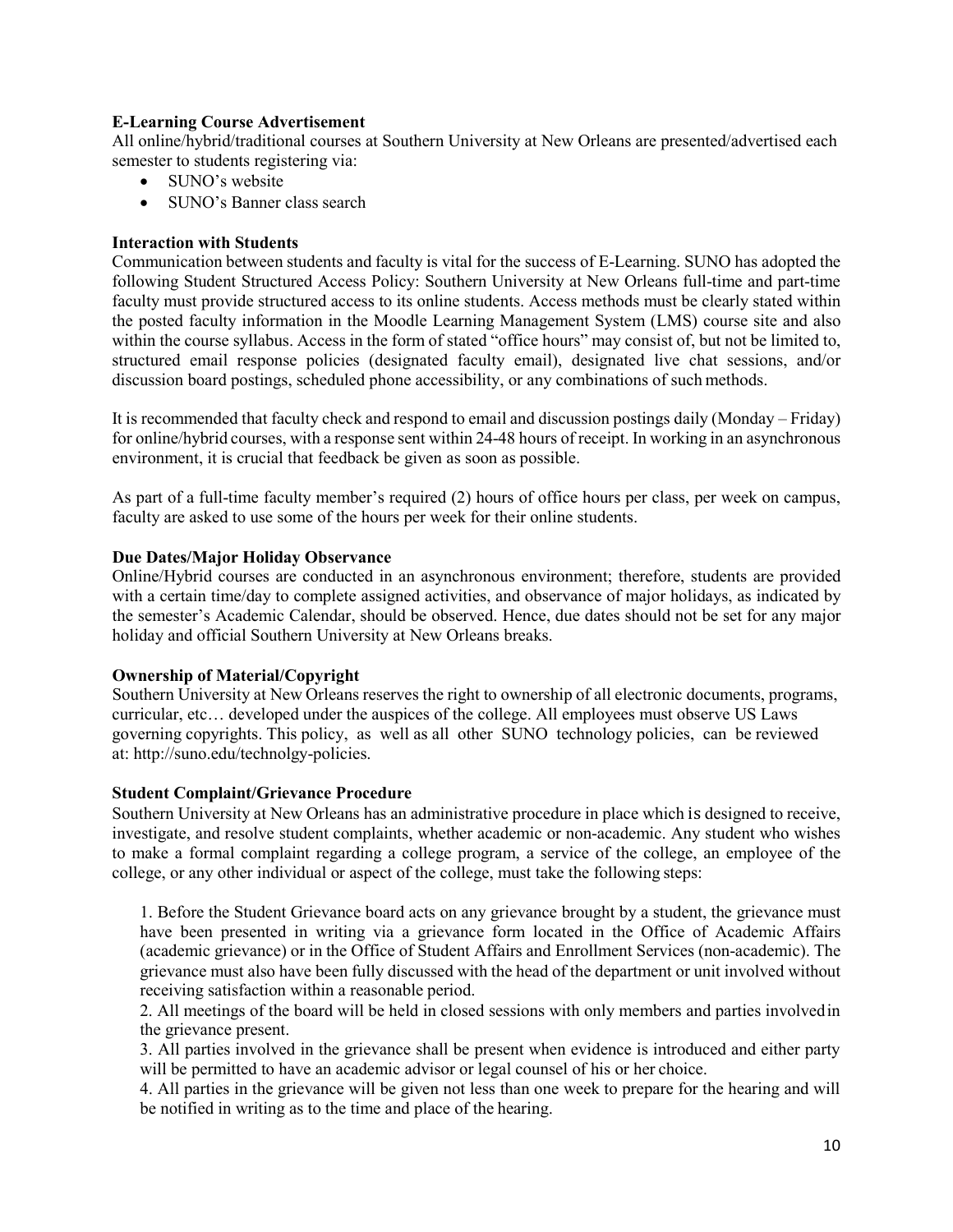# **E-Learning Course Advertisement**

All online/hybrid/traditional courses at Southern University at New Orleans are presented/advertised each semester to students registering via:

- SUNO's website
- SUNO's Banner class search

# **Interaction with Students**

Communication between students and faculty is vital for the success of E-Learning. SUNO has adopted the following Student Structured Access Policy: Southern University at New Orleans full-time and part-time faculty must provide structured access to its online students. Access methods must be clearly stated within the posted faculty information in the Moodle Learning Management System (LMS) course site and also within the course syllabus. Access in the form of stated "office hours" may consist of, but not be limited to, structured email response policies (designated faculty email), designated live chat sessions, and/or discussion board postings, scheduled phone accessibility, or any combinations of such methods.

It is recommended that faculty check and respond to email and discussion postings daily (Monday – Friday) for online/hybrid courses, with a response sent within 24-48 hours of receipt. In working in an asynchronous environment, it is crucial that feedback be given as soon as possible.

As part of a full-time faculty member's required (2) hours of office hours per class, per week on campus, faculty are asked to use some of the hours per week for their online students.

# **Due Dates/Major Holiday Observance**

Online/Hybrid courses are conducted in an asynchronous environment; therefore, students are provided with a certain time/day to complete assigned activities, and observance of major holidays, as indicated by the semester's Academic Calendar, should be observed. Hence, due dates should not be set for any major holiday and official Southern University at New Orleans breaks.

# **Ownership of Material/Copyright**

Southern University at New Orleans reserves the right to ownership of all electronic documents, programs, curricular, etc… developed under the auspices of the college. All employees must observe US Laws governing copyrights. This policy, as well as all other SUNO technology policies, can be reviewed at: [http://suno.edu/technolgy-policies.](http://suno.edu/technolgy-policies)

# **Student Complaint/Grievance Procedure**

Southern University at New Orleans has an administrative procedure in place which is designed to receive, investigate, and resolve student complaints, whether academic or non-academic. Any student who wishes to make a formal complaint regarding a college program, a service of the college, an employee of the college, or any other individual or aspect of the college, must take the following steps:

1. Before the Student Grievance board acts on any grievance brought by a student, the grievance must have been presented in writing via a grievance form located in the Office of Academic Affairs (academic grievance) or in the Office of Student Affairs and Enrollment Services (non-academic). The grievance must also have been fully discussed with the head of the department or unit involved without receiving satisfaction within a reasonable period.

2. All meetings of the board will be held in closed sessions with only members and parties involvedin the grievance present.

3. All parties involved in the grievance shall be present when evidence is introduced and either party will be permitted to have an academic advisor or legal counsel of his or her choice.

4. All parties in the grievance will be given not less than one week to prepare for the hearing and will be notified in writing as to the time and place of the hearing.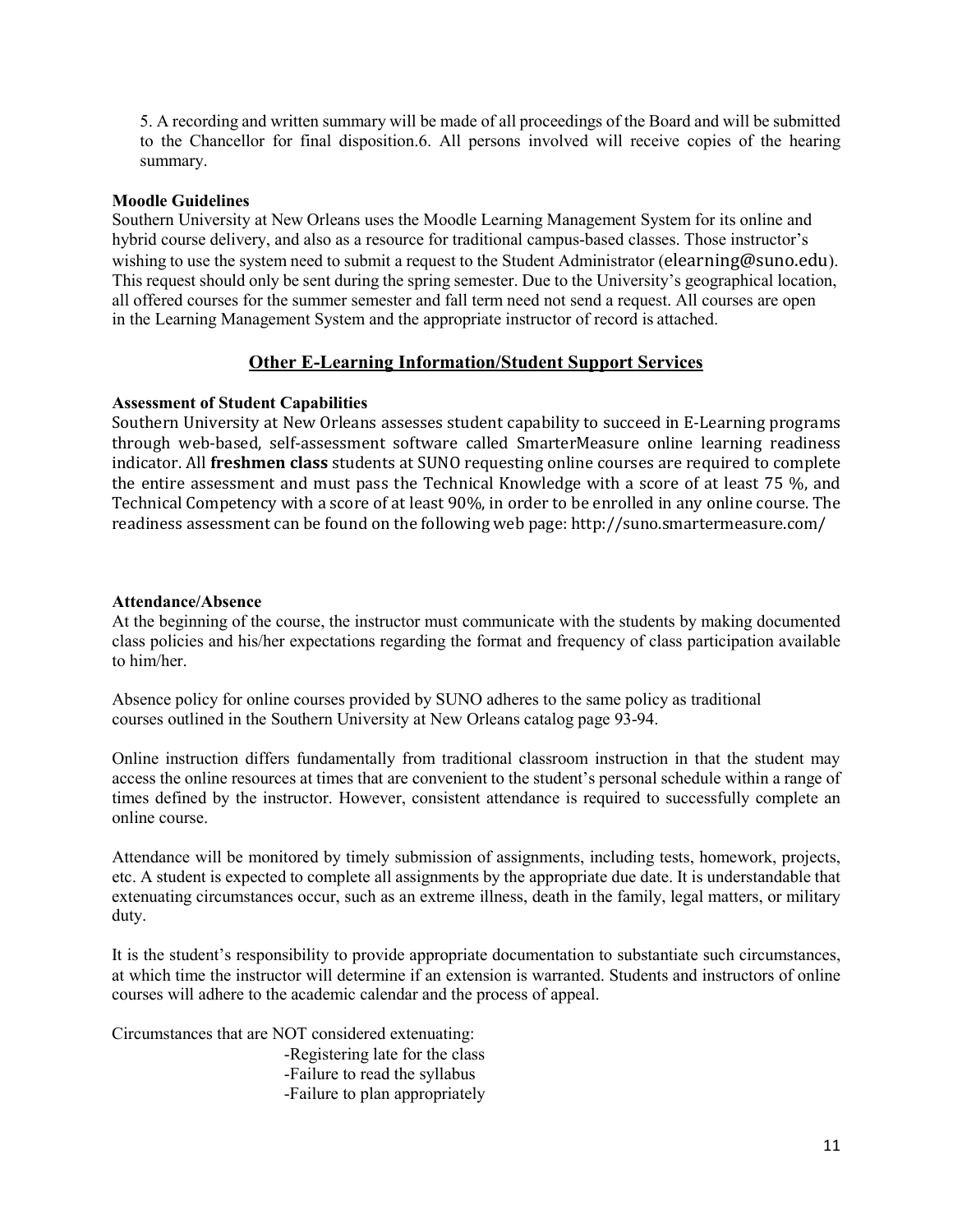5. A recording and written summary will be made of all proceedings of the Board and will be submitted to the Chancellor for final disposition.6. All persons involved will receive copies of the hearing summary.

# **Moodle Guidelines**

Southern University at New Orleans uses the Moodle Learning Management System for its online and hybrid course delivery, and also as a resource for traditional campus-based classes. Those instructor's wishing to use the system need to submit a request to the Student Administrator (elearning@suno.edu). This request should only be sent during the spring semester. Due to the University's geographical location, all offered courses for the summer semester and fall term need not send a request. All courses are open in the Learning Management System and the appropriate instructor of record is attached.

# **Other E-Learning Information/Student Support Services**

# <span id="page-10-0"></span>**Assessment of Student Capabilities**

Southern University at New Orleans assesses student capability to succeed in E-Learning programs through web-based, self-assessment software called SmarterMeasure online learning readiness indicator. All **freshmen class** students at SUNO requesting online courses are required to complete the entire assessment and must pass the Technical Knowledge with a score of at least 75 %, and Technical Competency with a score of at least 90%, in order to be enrolled in any online course. The readiness assessment can be found on the following web page:<http://suno.smartermeasure.com/>

#### **Attendance/Absence**

At the beginning of the course, the instructor must communicate with the students by making documented class policies and his/her expectations regarding the format and frequency of class participation available to him/her.

Absence policy for online courses provided by SUNO adheres to the same policy as traditional courses outlined in the Southern University at New Orleans catalog page 93-94.

Online instruction differs fundamentally from traditional classroom instruction in that the student may access the online resources at times that are convenient to the student's personal schedule within a range of times defined by the instructor. However, consistent attendance is required to successfully complete an online course.

Attendance will be monitored by timely submission of assignments, including tests, homework, projects, etc. A student is expected to complete all assignments by the appropriate due date. It is understandable that extenuating circumstances occur, such as an extreme illness, death in the family, legal matters, or military duty.

It is the student's responsibility to provide appropriate documentation to substantiate such circumstances, at which time the instructor will determine if an extension is warranted. Students and instructors of online courses will adhere to the academic calendar and the process of appeal.

Circumstances that are NOT considered extenuating:

-Registering late for the class -Failure to read the syllabus -Failure to plan appropriately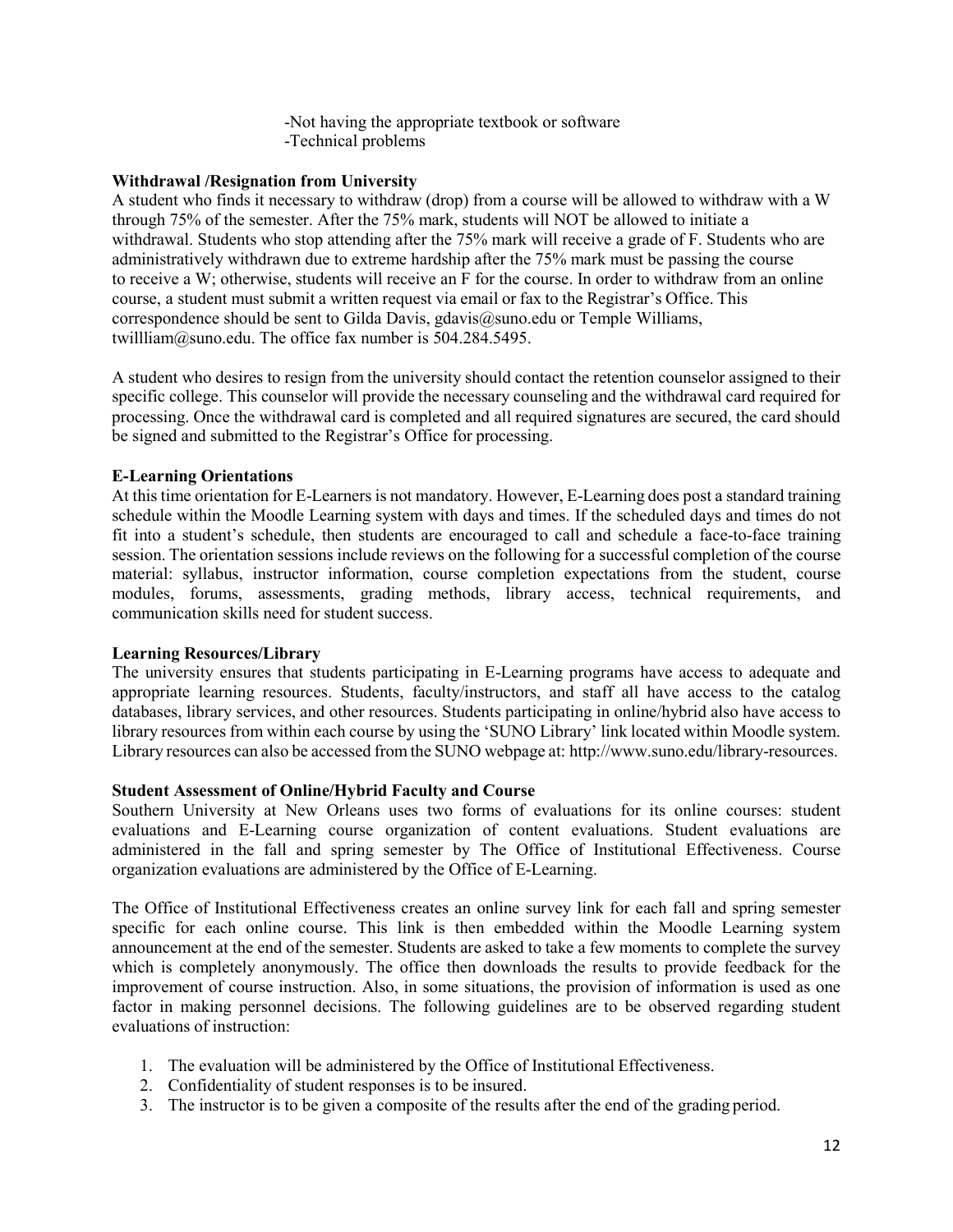-Not having the appropriate textbook or software -Technical problems

# **Withdrawal /Resignation from University**

A student who finds it necessary to withdraw (drop) from a course will be allowed to withdraw with a W through 75% of the semester. After the 75% mark, students will NOT be allowed to initiate a withdrawal. Students who stop attending after the 75% mark will receive a grade of F. Students who are administratively withdrawn due to extreme hardship after the 75% mark must be passing the course to receive a W; otherwise, students will receive an F for the course. In order to withdraw from an online course, a student must submit a written request via email or fax to the Registrar's Office. This correspondence should be sent to Gilda Davis, gdavis $@$ suno.edu or Temple Williams, [twillliam@suno.edu.](mailto:twillliam@suno.edu) The office fax number is 504.284.5495.

A student who desires to resign from the university should contact the retention counselor assigned to their specific college. This counselor will provide the necessary counseling and the withdrawal card required for processing. Once the withdrawal card is completed and all required signatures are secured, the card should be signed and submitted to the Registrar's Office for processing.

# **E-Learning Orientations**

At this time orientation for E-Learners is not mandatory. However, E-Learning does post a standard training schedule within the Moodle Learning system with days and times. If the scheduled days and times do not fit into a student's schedule, then students are encouraged to call and schedule a face-to-face training session. The orientation sessions include reviews on the following for a successful completion of the course material: syllabus, instructor information, course completion expectations from the student, course modules, forums, assessments, grading methods, library access, technical requirements, and communication skills need for student success.

# **Learning Resources/Library**

The university ensures that students participating in E-Learning programs have access to adequate and appropriate learning resources. Students, faculty/instructors, and staff all have access to the catalog databases, library services, and other resources. Students participating in online/hybrid also have access to library resources from within each course by using the 'SUNO Library' link located within Moodle system. Library resources can also be accessed from the SUNO webpage at: [http://www.suno.edu/library-resources.](http://www.suno.edu/library-resources)

# **Student Assessment of Online/Hybrid Faculty and Course**

Southern University at New Orleans uses two forms of evaluations for its online courses: student evaluations and E-Learning course organization of content evaluations. Student evaluations are administered in the fall and spring semester by The Office of Institutional Effectiveness. Course organization evaluations are administered by the Office of E-Learning.

The Office of Institutional Effectiveness creates an online survey link for each fall and spring semester specific for each online course. This link is then embedded within the Moodle Learning system announcement at the end of the semester. Students are asked to take a few moments to complete the survey which is completely anonymously. The office then downloads the results to provide feedback for the improvement of course instruction. Also, in some situations, the provision of information is used as one factor in making personnel decisions. The following guidelines are to be observed regarding student evaluations of instruction:

- 1. The evaluation will be administered by the Office of Institutional Effectiveness.
- 2. Confidentiality of student responses is to be insured.
- 3. The instructor is to be given a composite of the results after the end of the grading period.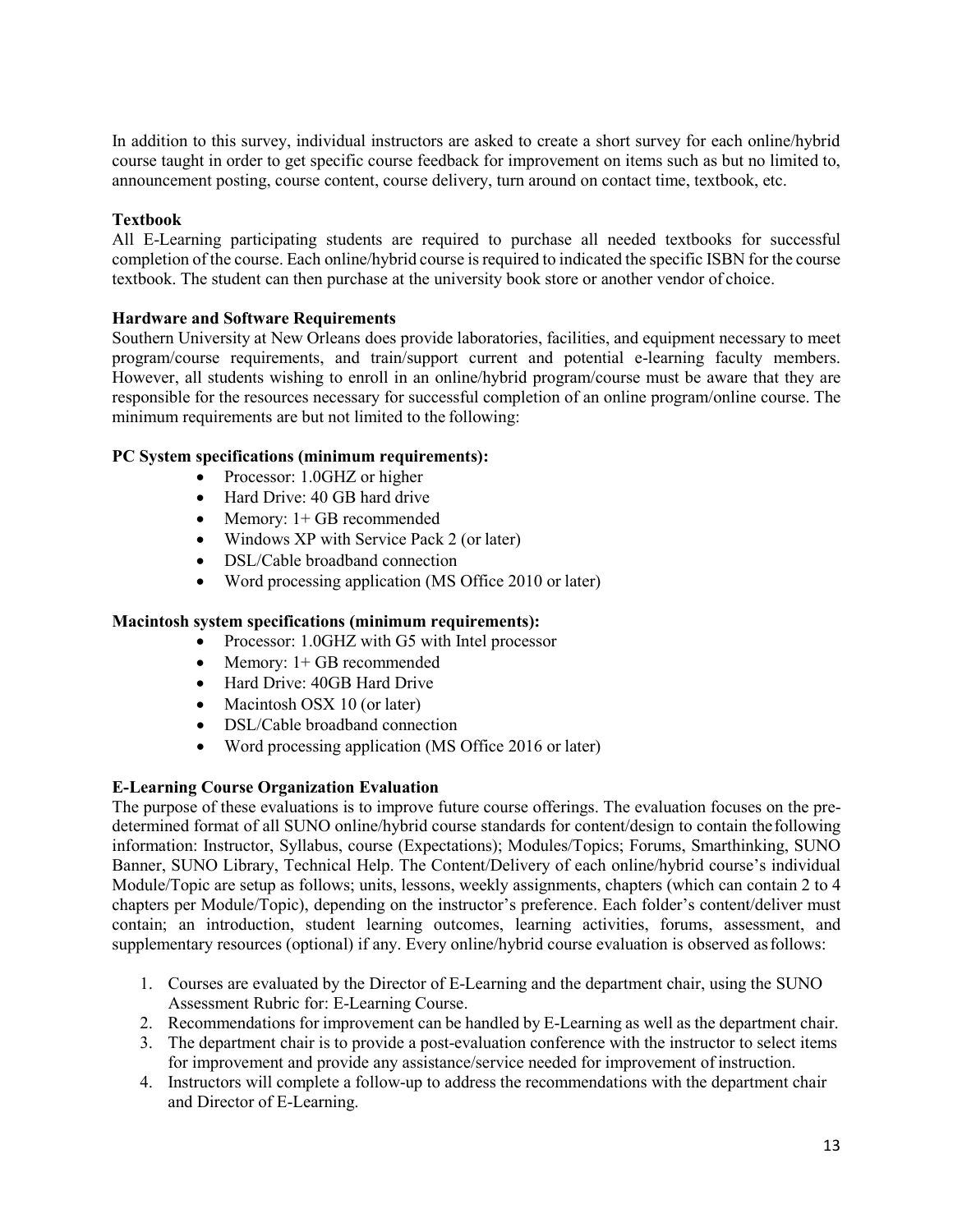In addition to this survey, individual instructors are asked to create a short survey for each online/hybrid course taught in order to get specific course feedback for improvement on items such as but no limited to, announcement posting, course content, course delivery, turn around on contact time, textbook, etc.

# **Textbook**

All E-Learning participating students are required to purchase all needed textbooks for successful completion of the course. Each online/hybrid course isrequired to indicated the specific ISBN for the course textbook. The student can then purchase at the university book store or another vendor of choice.

# **Hardware and Software Requirements**

Southern University at New Orleans does provide laboratories, facilities, and equipment necessary to meet program/course requirements, and train/support current and potential e-learning faculty members. However, all students wishing to enroll in an online/hybrid program/course must be aware that they are responsible for the resources necessary for successful completion of an online program/online course. The minimum requirements are but not limited to the following:

# **PC System specifications (minimum requirements):**

- Processor: 1.0GHZ or higher
- Hard Drive: 40 GB hard drive
- Memory: 1+ GB recommended
- Windows XP with Service Pack 2 (or later)
- DSL/Cable broadband connection
- Word processing application (MS Office 2010 or later)

# **Macintosh system specifications (minimum requirements):**

- Processor: 1.0GHZ with G5 with Intel processor
- Memory: 1+ GB recommended
- Hard Drive: 40GB Hard Drive
- Macintosh OSX 10 (or later)
- DSL/Cable broadband connection
- Word processing application (MS Office 2016 or later)

# **E-Learning Course Organization Evaluation**

The purpose of these evaluations is to improve future course offerings. The evaluation focuses on the predetermined format of all SUNO online/hybrid course standards for content/design to contain thefollowing information: Instructor, Syllabus, course (Expectations); Modules/Topics; Forums, Smarthinking, SUNO Banner, SUNO Library, Technical Help. The Content/Delivery of each online/hybrid course's individual Module/Topic are setup as follows; units, lessons, weekly assignments, chapters (which can contain 2 to 4 chapters per Module/Topic), depending on the instructor's preference. Each folder's content/deliver must contain; an introduction, student learning outcomes, learning activities, forums, assessment, and supplementary resources (optional) if any. Every online/hybrid course evaluation is observed asfollows:

- 1. Courses are evaluated by the Director of E-Learning and the department chair, using the SUNO Assessment Rubric for: E-Learning Course.
- 2. Recommendations for improvement can be handled by E-Learning as well as the department chair.
- 3. The department chair is to provide a post-evaluation conference with the instructor to select items for improvement and provide any assistance/service needed for improvement of instruction.
- 4. Instructors will complete a follow-up to address the recommendations with the department chair and Director of E-Learning.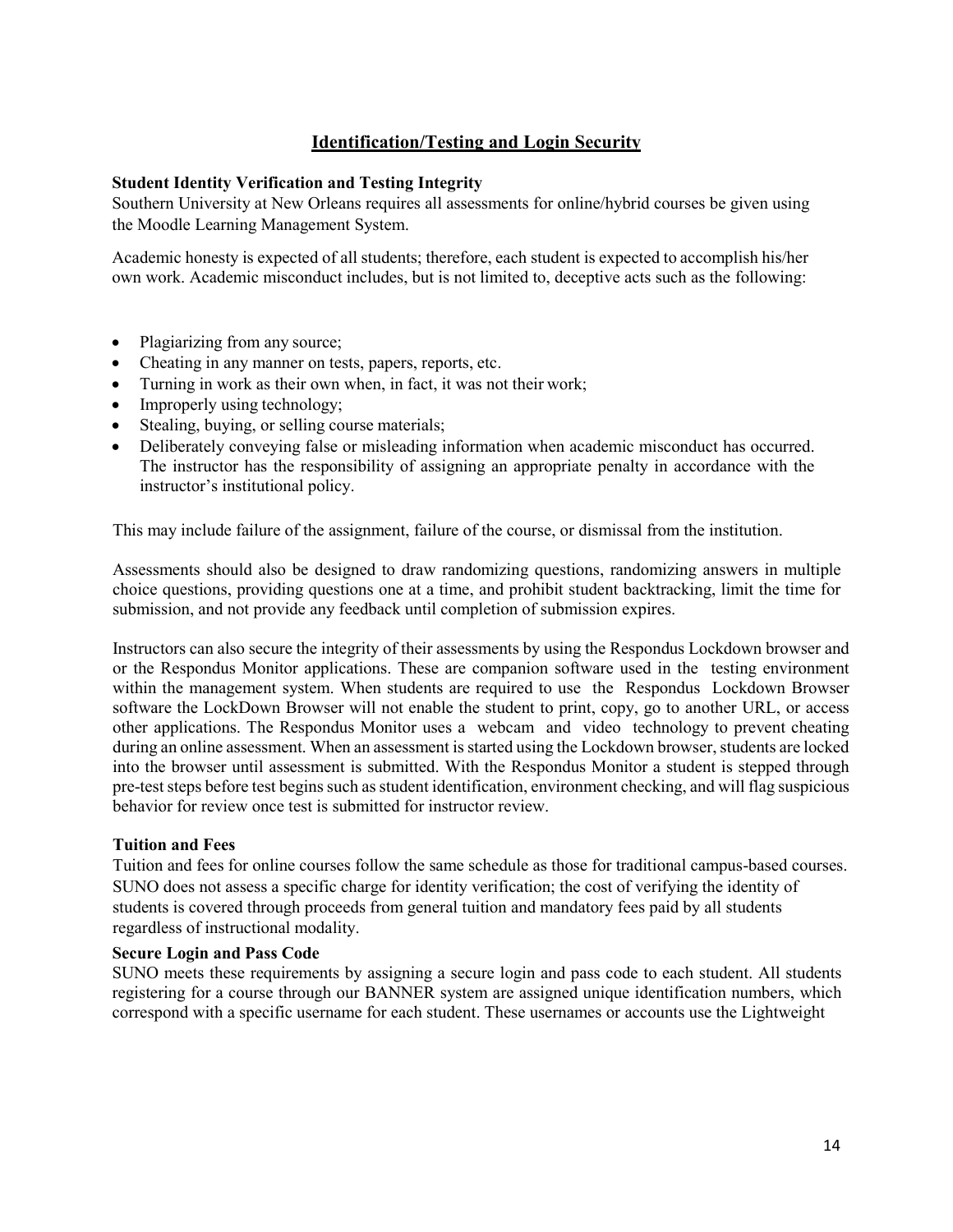# **Identification/Testing and Login Security**

# <span id="page-13-0"></span>**Student Identity Verification and Testing Integrity**

Southern University at New Orleans requires all assessments for online/hybrid courses be given using the Moodle Learning Management System.

Academic honesty is expected of all students; therefore, each student is expected to accomplish his/her own work. Academic misconduct includes, but is not limited to, deceptive acts such as the following:

- Plagiarizing from any source;
- Cheating in any manner on tests, papers, reports, etc.
- Turning in work as their own when, in fact, it was not their work;
- Improperly using technology;
- Stealing, buying, or selling course materials;
- Deliberately conveying false or misleading information when academic misconduct has occurred. The instructor has the responsibility of assigning an appropriate penalty in accordance with the instructor's institutional policy.

This may include failure of the assignment, failure of the course, or dismissal from the institution.

Assessments should also be designed to draw randomizing questions, randomizing answers in multiple choice questions, providing questions one at a time, and prohibit student backtracking, limit the time for submission, and not provide any feedback until completion of submission expires.

Instructors can also secure the integrity of their assessments by using the Respondus Lockdown browser and or the Respondus Monitor applications. These are companion software used in the testing environment within the management system. When students are required to use the Respondus Lockdown Browser software the LockDown Browser will not enable the student to print, copy, go to another URL, or access other applications. The Respondus Monitor uses a webcam and video technology to prevent cheating during an online assessment. When an assessment is started using the Lockdown browser, students are locked into the browser until assessment is submitted. With the Respondus Monitor a student is stepped through pre-test steps before test begins such as student identification, environment checking, and will flag suspicious behavior for review once test is submitted for instructor review.

# **Tuition and Fees**

Tuition and fees for online courses follow the same schedule as those for traditional campus-based courses. SUNO does not assess a specific charge for identity verification; the cost of verifying the identity of students is covered through proceeds from general tuition and mandatory fees paid by all students regardless of instructional modality.

# **Secure Login and Pass Code**

SUNO meets these requirements by assigning a secure login and pass code to each student. All students registering for a course through our BANNER system are assigned unique identification numbers, which correspond with a specific username for each student. These usernames or accounts use the Lightweight